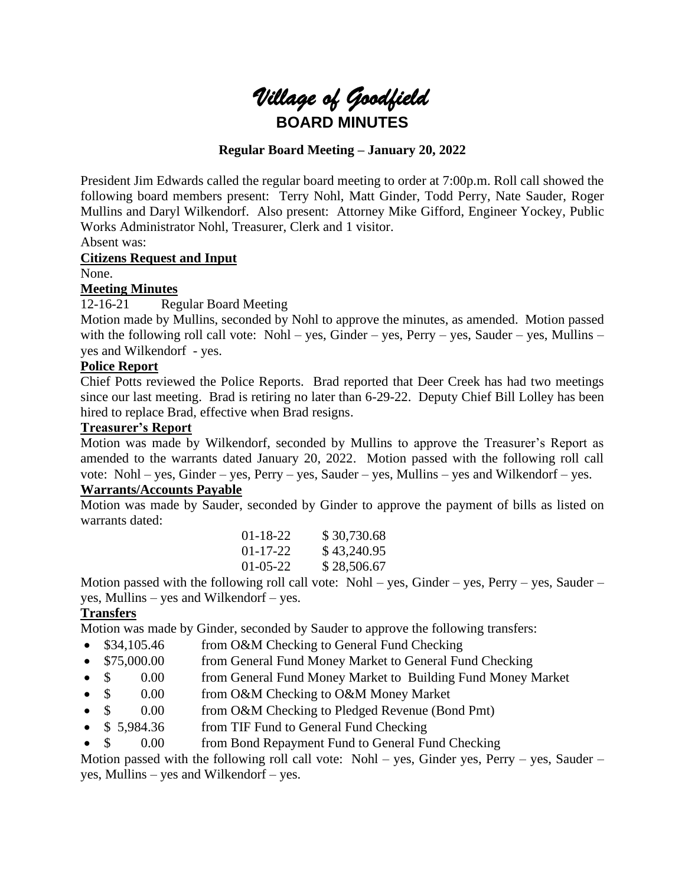

# **Regular Board Meeting – January 20, 2022**

President Jim Edwards called the regular board meeting to order at 7:00p.m. Roll call showed the following board members present: Terry Nohl, Matt Ginder, Todd Perry, Nate Sauder, Roger Mullins and Daryl Wilkendorf. Also present: Attorney Mike Gifford, Engineer Yockey, Public Works Administrator Nohl, Treasurer, Clerk and 1 visitor.

Absent was:

## **Citizens Request and Input**

#### None.

#### **Meeting Minutes**

12-16-21 Regular Board Meeting

Motion made by Mullins, seconded by Nohl to approve the minutes, as amended. Motion passed with the following roll call vote: Nohl – yes, Ginder – yes, Perry – yes, Sauder – yes, Mullins – yes and Wilkendorf - yes.

# **Police Report**

Chief Potts reviewed the Police Reports. Brad reported that Deer Creek has had two meetings since our last meeting. Brad is retiring no later than 6-29-22. Deputy Chief Bill Lolley has been hired to replace Brad, effective when Brad resigns.

# **Treasurer's Report**

Motion was made by Wilkendorf, seconded by Mullins to approve the Treasurer's Report as amended to the warrants dated January 20, 2022. Motion passed with the following roll call vote: Nohl – yes, Ginder – yes, Perry – yes, Sauder – yes, Mullins – yes and Wilkendorf – yes.

# **Warrants/Accounts Payable**

Motion was made by Sauder, seconded by Ginder to approve the payment of bills as listed on warrants dated:

| 01-18-22 | \$30,730.68 |
|----------|-------------|
| 01-17-22 | \$43,240.95 |
| 01-05-22 | \$28,506.67 |

Motion passed with the following roll call vote: Nohl – yes, Ginder – yes, Perry – yes, Sauder – yes, Mullins – yes and Wilkendorf – yes.

# **Transfers**

Motion was made by Ginder, seconded by Sauder to approve the following transfers:

- \$34,105.46 from O&M Checking to General Fund Checking
- \$75,000.00 from General Fund Money Market to General Fund Checking
- \$ 0.00 from General Fund Money Market to Building Fund Money Market
- \$ 0.00 from O&M Checking to O&M Money Market
- $\sin \theta = 0.00$  from O&M Checking to Pledged Revenue (Bond Pmt)
- \$5,984.36 from TIF Fund to General Fund Checking
- \$ 0.00 from Bond Repayment Fund to General Fund Checking

Motion passed with the following roll call vote: Nohl – yes, Ginder yes, Perry – yes, Sauder – yes, Mullins – yes and Wilkendorf – yes.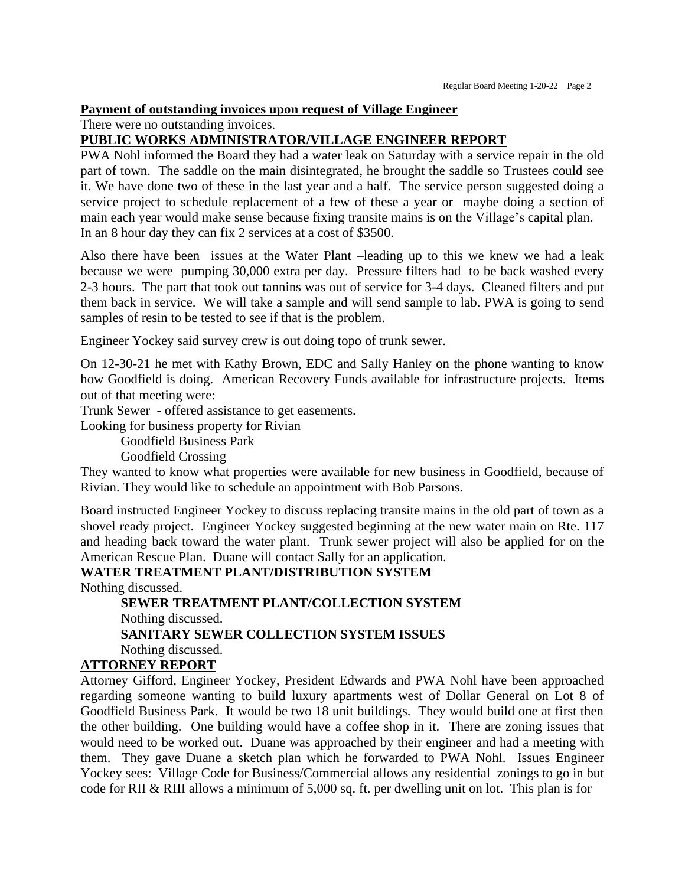#### **Payment of outstanding invoices upon request of Village Engineer**

There were no outstanding invoices.

#### **PUBLIC WORKS ADMINISTRATOR/VILLAGE ENGINEER REPORT**

PWA Nohl informed the Board they had a water leak on Saturday with a service repair in the old part of town. The saddle on the main disintegrated, he brought the saddle so Trustees could see it. We have done two of these in the last year and a half. The service person suggested doing a service project to schedule replacement of a few of these a year or maybe doing a section of main each year would make sense because fixing transite mains is on the Village's capital plan. In an 8 hour day they can fix 2 services at a cost of \$3500.

Also there have been issues at the Water Plant –leading up to this we knew we had a leak because we were pumping 30,000 extra per day. Pressure filters had to be back washed every 2-3 hours. The part that took out tannins was out of service for 3-4 days. Cleaned filters and put them back in service. We will take a sample and will send sample to lab. PWA is going to send samples of resin to be tested to see if that is the problem.

Engineer Yockey said survey crew is out doing topo of trunk sewer.

On 12-30-21 he met with Kathy Brown, EDC and Sally Hanley on the phone wanting to know how Goodfield is doing. American Recovery Funds available for infrastructure projects. Items out of that meeting were:

Trunk Sewer - offered assistance to get easements.

Looking for business property for Rivian

Goodfield Business Park

Goodfield Crossing

They wanted to know what properties were available for new business in Goodfield, because of Rivian. They would like to schedule an appointment with Bob Parsons.

Board instructed Engineer Yockey to discuss replacing transite mains in the old part of town as a shovel ready project. Engineer Yockey suggested beginning at the new water main on Rte. 117 and heading back toward the water plant. Trunk sewer project will also be applied for on the American Rescue Plan. Duane will contact Sally for an application.

# **WATER TREATMENT PLANT/DISTRIBUTION SYSTEM**

Nothing discussed.

**SEWER TREATMENT PLANT/COLLECTION SYSTEM** Nothing discussed. **SANITARY SEWER COLLECTION SYSTEM ISSUES** Nothing discussed.

# **ATTORNEY REPORT**

Attorney Gifford, Engineer Yockey, President Edwards and PWA Nohl have been approached regarding someone wanting to build luxury apartments west of Dollar General on Lot 8 of Goodfield Business Park. It would be two 18 unit buildings. They would build one at first then the other building. One building would have a coffee shop in it. There are zoning issues that would need to be worked out. Duane was approached by their engineer and had a meeting with them. They gave Duane a sketch plan which he forwarded to PWA Nohl. Issues Engineer Yockey sees: Village Code for Business/Commercial allows any residential zonings to go in but code for RII & RIII allows a minimum of 5,000 sq. ft. per dwelling unit on lot. This plan is for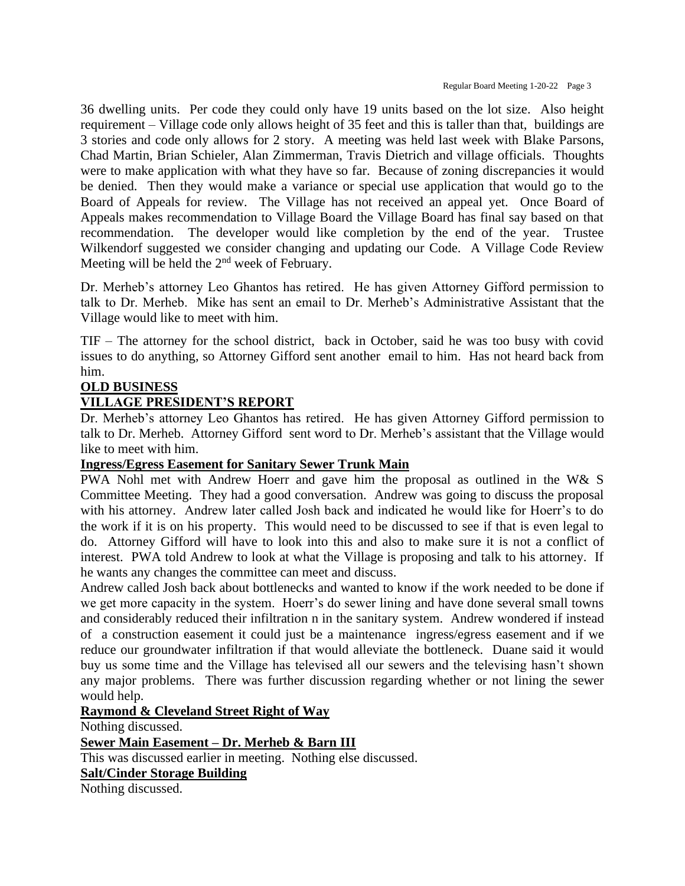36 dwelling units. Per code they could only have 19 units based on the lot size. Also height requirement – Village code only allows height of 35 feet and this is taller than that, buildings are 3 stories and code only allows for 2 story. A meeting was held last week with Blake Parsons, Chad Martin, Brian Schieler, Alan Zimmerman, Travis Dietrich and village officials. Thoughts were to make application with what they have so far. Because of zoning discrepancies it would be denied. Then they would make a variance or special use application that would go to the Board of Appeals for review. The Village has not received an appeal yet. Once Board of Appeals makes recommendation to Village Board the Village Board has final say based on that recommendation. The developer would like completion by the end of the year. Trustee Wilkendorf suggested we consider changing and updating our Code. A Village Code Review Meeting will be held the 2<sup>nd</sup> week of February.

Dr. Merheb's attorney Leo Ghantos has retired. He has given Attorney Gifford permission to talk to Dr. Merheb. Mike has sent an email to Dr. Merheb's Administrative Assistant that the Village would like to meet with him.

TIF – The attorney for the school district, back in October, said he was too busy with covid issues to do anything, so Attorney Gifford sent another email to him. Has not heard back from him.

## **OLD BUSINESS**

## **VILLAGE PRESIDENT'S REPORT**

Dr. Merheb's attorney Leo Ghantos has retired. He has given Attorney Gifford permission to talk to Dr. Merheb. Attorney Gifford sent word to Dr. Merheb's assistant that the Village would like to meet with him.

#### **Ingress/Egress Easement for Sanitary Sewer Trunk Main**

PWA Nohl met with Andrew Hoerr and gave him the proposal as outlined in the W& S Committee Meeting. They had a good conversation. Andrew was going to discuss the proposal with his attorney. Andrew later called Josh back and indicated he would like for Hoerr's to do the work if it is on his property. This would need to be discussed to see if that is even legal to do. Attorney Gifford will have to look into this and also to make sure it is not a conflict of interest. PWA told Andrew to look at what the Village is proposing and talk to his attorney. If he wants any changes the committee can meet and discuss.

Andrew called Josh back about bottlenecks and wanted to know if the work needed to be done if we get more capacity in the system. Hoerr's do sewer lining and have done several small towns and considerably reduced their infiltration n in the sanitary system. Andrew wondered if instead of a construction easement it could just be a maintenance ingress/egress easement and if we reduce our groundwater infiltration if that would alleviate the bottleneck. Duane said it would buy us some time and the Village has televised all our sewers and the televising hasn't shown any major problems. There was further discussion regarding whether or not lining the sewer would help.

#### **Raymond & Cleveland Street Right of Way**

Nothing discussed.

#### **Sewer Main Easement – Dr. Merheb & Barn III**

This was discussed earlier in meeting. Nothing else discussed.

#### **Salt/Cinder Storage Building**

Nothing discussed.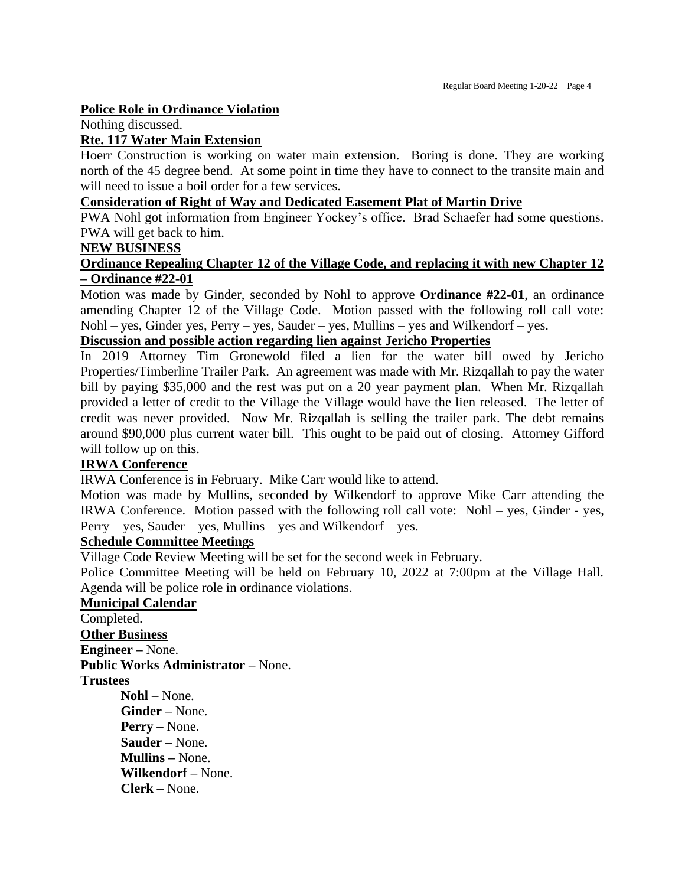#### **Police Role in Ordinance Violation**

Nothing discussed.

#### **Rte. 117 Water Main Extension**

Hoerr Construction is working on water main extension. Boring is done. They are working north of the 45 degree bend. At some point in time they have to connect to the transite main and will need to issue a boil order for a few services.

#### **Consideration of Right of Way and Dedicated Easement Plat of Martin Drive**

PWA Nohl got information from Engineer Yockey's office. Brad Schaefer had some questions. PWA will get back to him.

#### **NEW BUSINESS**

#### **Ordinance Repealing Chapter 12 of the Village Code, and replacing it with new Chapter 12 – Ordinance #22-01**

Motion was made by Ginder, seconded by Nohl to approve **Ordinance #22-01**, an ordinance amending Chapter 12 of the Village Code. Motion passed with the following roll call vote: Nohl – yes, Ginder yes, Perry – yes, Sauder – yes, Mullins – yes and Wilkendorf – yes.

# **Discussion and possible action regarding lien against Jericho Properties**

In 2019 Attorney Tim Gronewold filed a lien for the water bill owed by Jericho Properties/Timberline Trailer Park. An agreement was made with Mr. Rizqallah to pay the water bill by paying \$35,000 and the rest was put on a 20 year payment plan. When Mr. Rizqallah provided a letter of credit to the Village the Village would have the lien released. The letter of credit was never provided. Now Mr. Rizqallah is selling the trailer park. The debt remains around \$90,000 plus current water bill. This ought to be paid out of closing. Attorney Gifford will follow up on this.

#### **IRWA Conference**

IRWA Conference is in February. Mike Carr would like to attend.

Motion was made by Mullins, seconded by Wilkendorf to approve Mike Carr attending the IRWA Conference. Motion passed with the following roll call vote: Nohl – yes, Ginder - yes, Perry – yes, Sauder – yes, Mullins – yes and Wilkendorf – yes.

#### **Schedule Committee Meetings**

Village Code Review Meeting will be set for the second week in February.

Police Committee Meeting will be held on February 10, 2022 at 7:00pm at the Village Hall. Agenda will be police role in ordinance violations.

#### **Municipal Calendar**

Completed. **Other Business Engineer –** None. **Public Works Administrator –** None. **Trustees Nohl** – None. **Ginder –** None. **Perry –** None. **Sauder –** None. **Mullins –** None. **Wilkendorf –** None.

**Clerk –** None.